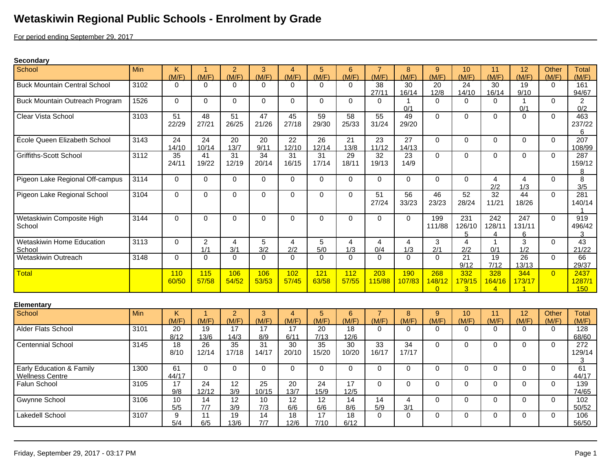## **Wetaskiwin Regional Public Schools - Enrolment by Grade**

For period ending September 29, 2017

## **Secondary**

| School                                             | Min  | Κ<br>(M/F)   | -1<br>(M/F)              | $\overline{2}$<br>(M/F)  | 3<br>(M/F)               | 4<br>(M/F)               | 5<br>(M/F)               | 6<br>(M/F)               | $\overline{7}$<br>(M/F)  | 8<br>(M/F)               | $9^{\circ}$<br>(M/F)      | 10<br>(M/F)                     | 11<br>(M/F)                     | 12<br>(M/F)                     | Other<br>(M/F) | Total<br>(M/F)        |
|----------------------------------------------------|------|--------------|--------------------------|--------------------------|--------------------------|--------------------------|--------------------------|--------------------------|--------------------------|--------------------------|---------------------------|---------------------------------|---------------------------------|---------------------------------|----------------|-----------------------|
| <b>Buck Mountain Central School</b>                | 3102 | $\Omega$     | $\Omega$                 | $\Omega$                 | $\Omega$                 | 0                        | $\Omega$                 | $\Omega$                 | 38<br>27/11              | 30<br>16/14              | 20<br>12/8                | 24<br>4/10                      | 30<br>16/14                     | 19<br>9/10                      | $\Omega$       | 161<br>94/67          |
| Buck Mountain Outreach Program                     | 1526 | $\Omega$     | $\Omega$                 | $\mathbf 0$              | 0                        | $\Omega$                 | $\Omega$                 | $\Omega$                 | 0                        | 0/1                      | $\Omega$                  | $\Omega$                        | $\Omega$                        | $\mathbf{1}$<br>0/1             | $\Omega$       | $\overline{2}$<br>0/2 |
| Clear Vista School                                 | 3103 | 51<br>22/29  | 48<br>27/21              | 51<br>26/25              | 47<br>21/26              | 45<br>27/18              | 59<br>29/30              | 58<br>25/33              | 55<br>31/24              | 49<br>29/20              | $\Omega$                  | $\mathbf 0$                     | $\Omega$                        | $\Omega$                        | $\Omega$       | 463<br>237/22<br>6    |
| École Queen Elizabeth School                       | 3143 | 24<br>14/10  | 24<br>10/14              | 20<br>13/7               | 20<br>9/11               | 22<br>12/10              | 26<br>12/14              | 21<br>13/8               | 23<br>11/12              | 27<br>14/13              | $\Omega$                  | $\mathbf 0$                     | $\Omega$                        | $\Omega$                        | $\Omega$       | 207<br>108/99         |
| <b>Griffiths-Scott School</b>                      | 3112 | 35<br>24/11  | 41<br>19/22              | $\overline{31}$<br>12/19 | $\overline{34}$<br>20/14 | 31<br>16/15              | 31<br>17/14              | 29<br>18/11              | 32<br>19/13              | 23<br>14/9               | $\Omega$                  | 0                               | $\Omega$                        | $\Omega$                        | $\Omega$       | 287<br>159/12<br>8    |
| Pigeon Lake Regional Off-campus                    | 3114 | $\Omega$     | $\Omega$                 | $\mathbf 0$              | $\mathbf 0$              | $\Omega$                 | $\Omega$                 | $\Omega$                 | $\Omega$                 | $\Omega$                 | $\Omega$                  | $\mathbf 0$                     | $\overline{4}$<br>2/2           | 4<br>1/3                        | $\mathbf{0}$   | $\overline{8}$<br>3/5 |
| Pigeon Lake Regional School                        | 3104 | $\Omega$     | $\Omega$                 | $\mathbf 0$              | 0                        | $\Omega$                 | $\Omega$                 | $\Omega$                 | 51<br>27/24              | 56<br>33/23              | 46<br>23/23               | 52<br>28/24                     | $\overline{32}$<br>11/21        | 44<br>18/26                     | $\Omega$       | 281<br>140/14         |
| Wetaskiwin Composite High<br>School                | 3144 | $\Omega$     | $\Omega$                 | $\mathbf 0$              | 0                        | $\Omega$                 | $\Omega$                 | $\Omega$                 | 0                        | $\Omega$                 | 199<br>111/88             | 231<br>126/10<br>5              | $\overline{242}$<br>128/11<br>4 | $\overline{247}$<br>131/11<br>6 | $\Omega$       | 919<br>496/42<br>3    |
| <b>Wetaskiwin Home Education</b><br>School         | 3113 | $\mathbf 0$  | $\overline{2}$<br>1/1    | $\overline{4}$<br>3/1    | 5<br>3/2                 | $\overline{4}$<br>2/2    | 5<br>5/0                 | $\overline{4}$<br>1/3    | $\overline{4}$<br>0/4    | $\overline{4}$<br>1/3    | 3<br>2/1                  | $\overline{4}$<br>2/2           | $\mathbf{1}$<br>0/1             | 3<br>1/2                        | $\Omega$       | 43<br>21/22           |
| Wetaskiwin Outreach                                | 3148 | $\Omega$     | $\Omega$                 | $\Omega$                 | $\Omega$                 | $\Omega$                 | $\Omega$                 | $\Omega$                 | $\Omega$                 | $\Omega$                 | $\Omega$                  | $\overline{21}$<br>9/12         | 19<br>7/12                      | $\overline{26}$<br>13/13        | $\Omega$       | 66<br>29/37           |
| <b>Total</b>                                       |      | 110<br>60/50 | 115<br>57/58             | 106<br>54/52             | 106<br>53/53             | 102<br>57/45             | 121<br>63/58             | 112<br>57/55             | 203<br>115/88            | 190<br>107/83            | 268<br>148/12<br>$\Omega$ | 332<br>179/15<br>$\overline{3}$ | 328<br>164/16<br>$\overline{4}$ | 344<br>173/17                   | $\Omega$       | 2437<br>1287/1<br>150 |
| <b>Elementary</b>                                  |      |              |                          |                          |                          |                          |                          |                          |                          |                          |                           |                                 |                                 |                                 |                |                       |
| School                                             | Min  | K<br>(M/F)   | $\overline{1}$<br>(M/F)  | $\overline{2}$<br>(M/F)  | 3<br>(M/F)               | $\overline{4}$<br>(M/F)  | $\overline{5}$<br>(M/F)  | 6<br>(M/F)               | $\overline{7}$<br>(M/F)  | 8<br>(M/F)               | 9<br>(M/F)                | 10<br>(M/F)                     | $\overline{11}$<br>(M/F)        | $\overline{12}$<br>(M/F)        | Other<br>(M/F) | <b>Total</b><br>(M/F) |
| Alder Flats School                                 | 3101 | 20<br>8/12   | 19<br>13/6               | 17<br>14/3               | 17<br>8/9                | 17<br>6/11               | 20<br>7/13               | 18<br>12/6               | 0                        | $\Omega$                 | $\Omega$                  | 0                               | $\Omega$                        | $\Omega$                        | $\Omega$       | 128<br>68/60          |
| <b>Centennial School</b>                           | 3145 | 18<br>8/10   | $\overline{26}$<br>12/14 | 35<br>17/18              | $\overline{31}$<br>14/17 | $\overline{30}$<br>20/10 | $\overline{35}$<br>15/20 | $\overline{30}$<br>10/20 | $\overline{33}$<br>16/17 | $\overline{34}$<br>17/17 | $\Omega$                  | $\pmb{0}$                       | $\Omega$                        | $\Omega$                        | $\Omega$       | 272<br>129/14<br>3    |
| Early Education & Family<br><b>Wellness Centre</b> | 1300 | 61<br>44/17  | $\Omega$                 | $\Omega$                 | $\Omega$                 | $\Omega$                 | $\Omega$                 | $\Omega$                 | $\Omega$                 | $\Omega$                 | $\Omega$                  | $\mathbf 0$                     | $\Omega$                        | $\Omega$                        | $\Omega$       | 61<br>44/17           |
| Falun School                                       | 3105 | 17<br>9/8    | $\overline{24}$<br>12/12 | 12<br>3/9                | 25<br>10/15              | 20<br>13/7               | 24<br>15/9               | 17<br>12/5               | 0                        | $\Omega$                 | $\Omega$                  | $\Omega$                        | $\Omega$                        | $\Omega$                        | $\Omega$       | 139<br>74/65          |
| <b>Gwynne School</b>                               | 3106 | 10<br>5/5    | 14<br>7/7                | 12<br>3/9                | 10<br>7/3                | 12<br>6/6                | 12<br>6/6                | 14<br>8/6                | 14<br>5/9                | 4<br>3/1                 | $\Omega$                  | $\mathbf 0$                     | $\Omega$                        | $\Omega$                        | $\mathbf{0}$   | 102<br>50/52          |
| Lakedell School                                    | 3107 | 9<br>5/4     | 11<br>6/5                | 19<br>13/6               | 14<br>7/7                | 18<br>12/6               | 17<br>7/10               | 18<br>6/12               | $\Omega$                 | $\Omega$                 | $\mathbf 0$               | $\mathbf 0$                     | $\Omega$                        | $\mathbf 0$                     | $\Omega$       | 106<br>56/50          |